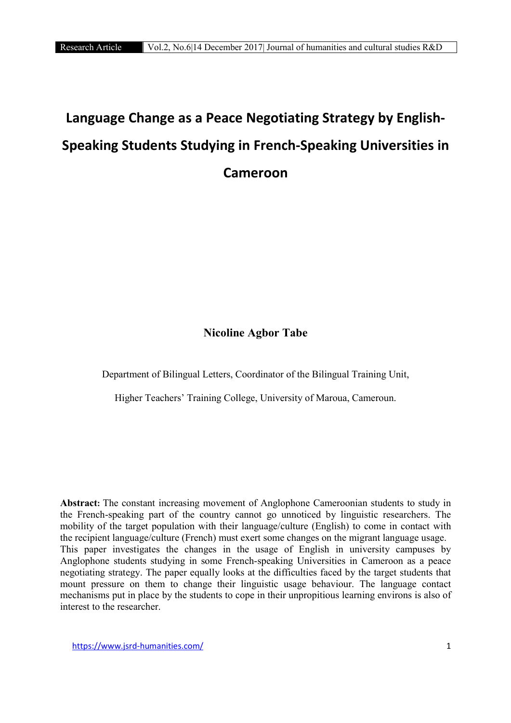# **Language Change as a Peace Negotiating Strategy by English-Speaking Students Studying in French-Speaking Universities in Cameroon**

# Nicoline Agbor Tabe

Department of Bilingual Letters, Coordinator of the Bilingual Training Unit,

Higher Teachers' Training College, University of Maroua, Cameroun.

Abstract**:** The constant increasing movement of Anglophone Cameroonian students to study in the French-speaking part of the country cannot go unnoticed by linguistic researchers. The mobility of the target population with their language/culture (English) to come in contact with the recipient language/culture (French) must exert some changes on the migrant language usage. This paper investigates the changes in the usage of English in university campuses by Anglophone students studying in some French-speaking Universities in Cameroon as a peace negotiating strategy. The paper equally looks at the difficulties faced by the target students that mount pressure on them to change their linguistic usage behaviour. The language contact mechanisms put in place by the students to cope in their unpropitious learning environs is also of interest to the researcher.

https://www.jsrd-humanities.com/ 1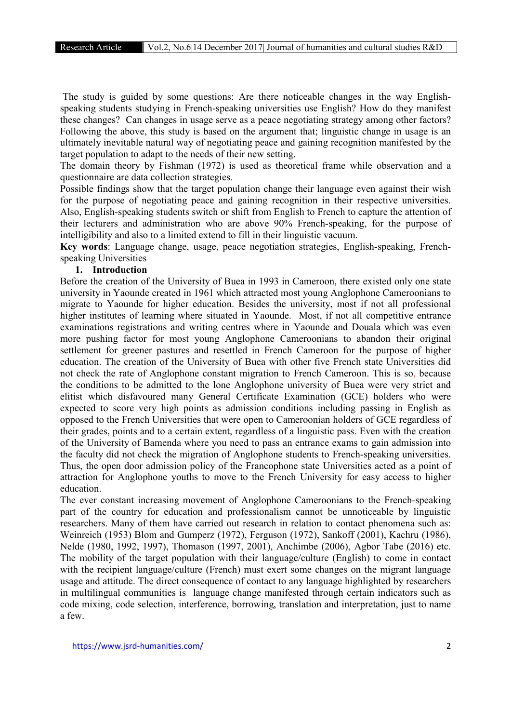The study is guided by some questions: Are there noticeable changes in the way Englishspeaking students studying in French-speaking universities use English? How do they manifest these changes? Can changes in usage serve as a peace negotiating strategy among other factors? Following the above, this study is based on the argument that; linguistic change in usage is an ultimately inevitable natural way of negotiating peace and gaining recognition manifested by the target population to adapt to the needs of their new setting.

The domain theory by Fishman (1972) is used as theoretical frame while observation and a questionnaire are data collection strategies.

Possible findings show that the target population change their language even against their wish for the purpose of negotiating peace and gaining recognition in their respective universities. Also, English-speaking students switch or shift from English to French to capture the attention of their lecturers and administration who are above 90% French-speaking, for the purpose of intelligibility and also to a limited extend to fill in their linguistic vacuum.

Key words: Language change, usage, peace negotiation strategies, English-speaking, Frenchspeaking Universities

#### 1. Introduction

Before the creation of the University of Buea in 1993 in Cameroon, there existed only one state university in Yaounde created in 1961 which attracted most young Anglophone Cameroonians to migrate to Yaounde for higher education. Besides the university, most if not all professional higher institutes of learning where situated in Yaounde. Most, if not all competitive entrance examinations registrations and writing centres where in Yaounde and Douala which was even more pushing factor for most young Anglophone Cameroonians to abandon their original settlement for greener pastures and resettled in French Cameroon for the purpose of higher education. The creation of the University of Buea with other five French state Universities did not check the rate of Anglophone constant migration to French Cameroon. This is so, because the conditions to be admitted to the lone Anglophone university of Buea were very strict and elitist which disfavoured many General Certificate Examination (GCE) holders who were expected to score very high points as admission conditions including passing in English as opposed to the French Universities that were open to Cameroonian holders of GCE regardless of their grades, points and to a certain extent, regardless of a linguistic pass. Even with the creation of the University of Bamenda where you need to pass an entrance exams to gain admission into the faculty did not check the migration of Anglophone students to French-speaking universities. Thus, the open door admission policy of the Francophone state Universities acted as a point of attraction for Anglophone youths to move to the French University for easy access to higher education.

The ever constant increasing movement of Anglophone Cameroonians to the French-speaking part of the country for education and professionalism cannot be unnoticeable by linguistic researchers. Many of them have carried out research in relation to contact phenomena such as: Weinreich (1953) Blom and Gumperz (1972), Ferguson (1972), Sankoff (2001), Kachru (1986), Nelde (1980, 1992, 1997), Thomason (1997, 2001), Anchimbe (2006), Agbor Tabe (2016) etc. The mobility of the target population with their language/culture (English) to come in contact with the recipient language/culture (French) must exert some changes on the migrant language usage and attitude. The direct consequence of contact to any language highlighted by researchers in multilingual communities is language change manifested through certain indicators such as code mixing, code selection, interference, borrowing, translation and interpretation, just to name a few.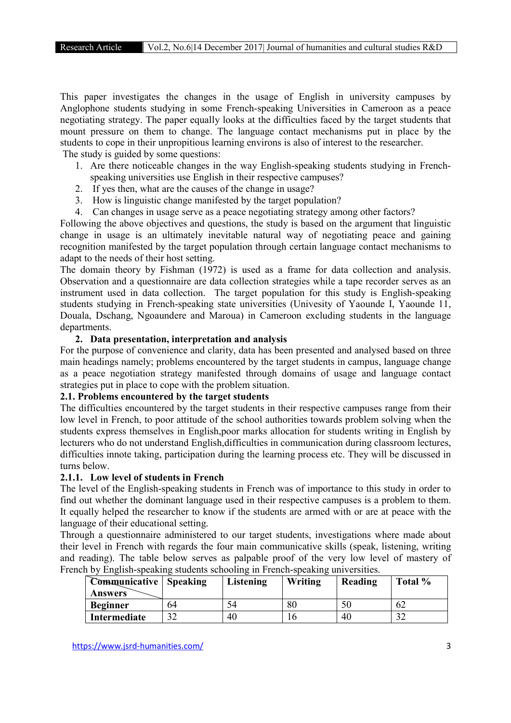This paper investigates the changes in the usage of English in university campuses by Anglophone students studying in some French-speaking Universities in Cameroon as a peace negotiating strategy. The paper equally looks at the difficulties faced by the target students that mount pressure on them to change. The language contact mechanisms put in place by the students to cope in their unpropitious learning environs is also of interest to the researcher. The study is guided by some questions:

- 1. Are there noticeable changes in the way English-speaking students studying in Frenchspeaking universities use English in their respective campuses?
- 2. If yes then, what are the causes of the change in usage?
- 3. How is linguistic change manifested by the target population?
- 4. Can changes in usage serve as a peace negotiating strategy among other factors?

Following the above objectives and questions, the study is based on the argument that linguistic change in usage is an ultimately inevitable natural way of negotiating peace and gaining recognition manifested by the target population through certain language contact mechanisms to adapt to the needs of their host setting.

The domain theory by Fishman (1972) is used as a frame for data collection and analysis. Observation and a questionnaire are data collection strategies while a tape recorder serves as an instrument used in data collection. The target population for this study is English-speaking students studying in French-speaking state universities (Univesity of Yaounde I, Yaounde 11, Douala, Dschang, Ngoaundere and Maroua) in Cameroon excluding students in the language departments.

#### 2. Data presentation, interpretation and analysis

For the purpose of convenience and clarity, data has been presented and analysed based on three main headings namely; problems encountered by the target students in campus, language change as a peace negotiation strategy manifested through domains of usage and language contact strategies put in place to cope with the problem situation.

#### 2.1. Problems encountered by the target students

The difficulties encountered by the target students in their respective campuses range from their low level in French, to poor attitude of the school authorities towards problem solving when the students express themselves in English,poor marks allocation for students writing in English by lecturers who do not understand English,difficulties in communication during classroom lectures, difficulties innote taking, participation during the learning process etc. They will be discussed in turns below.

#### 2.1.1. Low level of students in French

The level of the English-speaking students in French was of importance to this study in order to find out whether the dominant language used in their respective campuses is a problem to them. It equally helped the researcher to know if the students are armed with or are at peace with the language of their educational setting.

Through a questionnaire administered to our target students, investigations where made about their level in French with regards the four main communicative skills (speak, listening, writing and reading). The table below serves as palpable proof of the very low level of mastery of French by English-speaking students schooling in French-speaking universities.

| <b>Communicative</b> Speaking |    | Listening | Writing | Reading | Total % |
|-------------------------------|----|-----------|---------|---------|---------|
| <b>Answers</b>                |    |           |         |         |         |
| <b>Beginner</b>               | 64 | 54        | 80      | 50      | 62      |
| Intermediate                  | າາ | 40        |         | 40      | $\sim$  |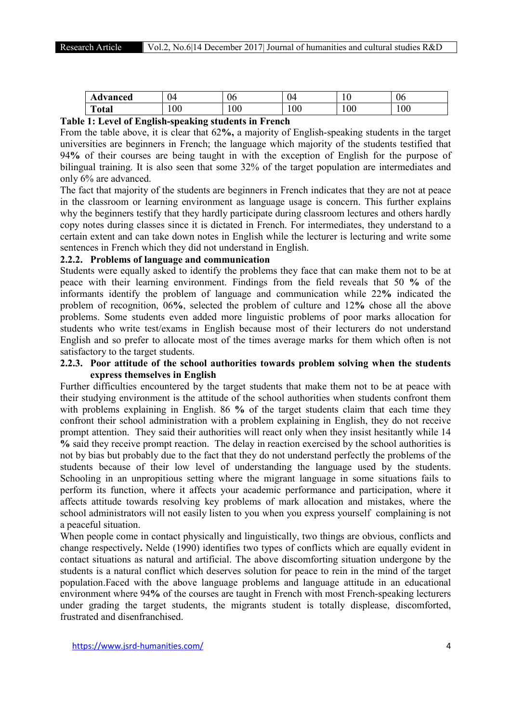| Advanced                                                                        | 04  | 06  | $\sim$<br>U4 | $\Omega$<br>1 V | 06  |
|---------------------------------------------------------------------------------|-----|-----|--------------|-----------------|-----|
| m<br>`otal                                                                      | 100 | 100 | 100          | 100             | 100 |
| ---<br>$ -$<br>$\sim$<br>$\sim$ $\sim$<br>$\sim$<br>$-$<br>$-$<br>$\sim$ $\sim$ |     |     |              |                 |     |

#### Table 1: Level of English-speaking students in French

From the table above, it is clear that 62%, a majority of English-speaking students in the target universities are beginners in French; the language which majority of the students testified that 94% of their courses are being taught in with the exception of English for the purpose of bilingual training. It is also seen that some 32% of the target population are intermediates and only 6% are advanced.

The fact that majority of the students are beginners in French indicates that they are not at peace in the classroom or learning environment as language usage is concern. This further explains why the beginners testify that they hardly participate during classroom lectures and others hardly copy notes during classes since it is dictated in French. For intermediates, they understand to a certain extent and can take down notes in English while the lecturer is lecturing and write some sentences in French which they did not understand in English.

# 2.2.2. Problems of language and communication

Students were equally asked to identify the problems they face that can make them not to be at peace with their learning environment. Findings from the field reveals that 50 % of the informants identify the problem of language and communication while 22% indicated the problem of recognition, 06%, selected the problem of culture and 12% chose all the above problems. Some students even added more linguistic problems of poor marks allocation for students who write test/exams in English because most of their lecturers do not understand English and so prefer to allocate most of the times average marks for them which often is not satisfactory to the target students.

# 2.2.3. Poor attitude of the school authorities towards problem solving when the students express themselves in English

Further difficulties encountered by the target students that make them not to be at peace with their studying environment is the attitude of the school authorities when students confront them with problems explaining in English. 86 % of the target students claim that each time they confront their school administration with a problem explaining in English, they do not receive prompt attention. They said their authorities will react only when they insist hesitantly while 14 % said they receive prompt reaction. The delay in reaction exercised by the school authorities is not by bias but probably due to the fact that they do not understand perfectly the problems of the students because of their low level of understanding the language used by the students. Schooling in an unpropitious setting where the migrant language in some situations fails to perform its function, where it affects your academic performance and participation, where it affects attitude towards resolving key problems of mark allocation and mistakes, where the school administrators will not easily listen to you when you express yourself complaining is not a peaceful situation.

When people come in contact physically and linguistically, two things are obvious, conflicts and change respectively. Nelde (1990) identifies two types of conflicts which are equally evident in contact situations as natural and artificial. The above discomforting situation undergone by the students is a natural conflict which deserves solution for peace to rein in the mind of the target population.Faced with the above language problems and language attitude in an educational environment where 94% of the courses are taught in French with most French-speaking lecturers under grading the target students, the migrants student is totally displease, discomforted, frustrated and disenfranchised.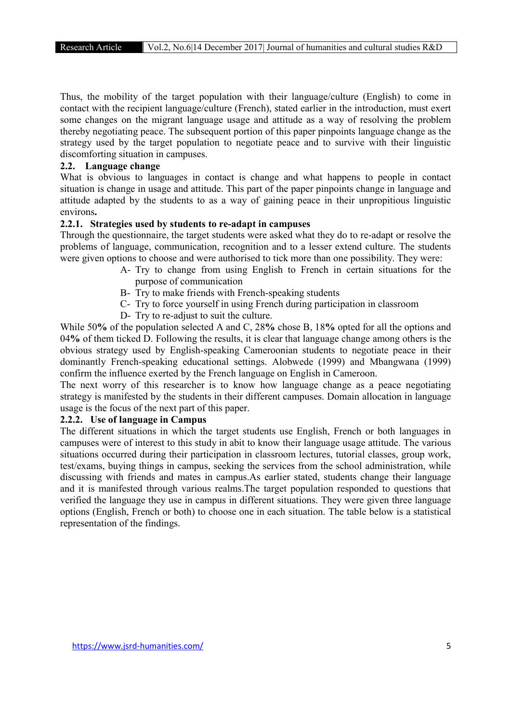Thus, the mobility of the target population with their language/culture (English) to come in contact with the recipient language/culture (French), stated earlier in the introduction, must exert some changes on the migrant language usage and attitude as a way of resolving the problem thereby negotiating peace. The subsequent portion of this paper pinpoints language change as the strategy used by the target population to negotiate peace and to survive with their linguistic discomforting situation in campuses.

# 2.2. Language change

What is obvious to languages in contact is change and what happens to people in contact situation is change in usage and attitude. This part of the paper pinpoints change in language and attitude adapted by the students to as a way of gaining peace in their unpropitious linguistic environs.

# 2.2.1. Strategies used by students to re-adapt in campuses

Through the questionnaire, the target students were asked what they do to re-adapt or resolve the problems of language, communication, recognition and to a lesser extend culture. The students were given options to choose and were authorised to tick more than one possibility. They were:

- A- Try to change from using English to French in certain situations for the purpose of communication
- B- Try to make friends with French-speaking students
- C- Try to force yourself in using French during participation in classroom
- D- Try to re-adjust to suit the culture.

While 50% of the population selected A and C, 28% chose B, 18% opted for all the options and 04% of them ticked D. Following the results, it is clear that language change among others is the obvious strategy used by English-speaking Cameroonian students to negotiate peace in their dominantly French-speaking educational settings. Alobwede (1999) and Mbangwana (1999) confirm the influence exerted by the French language on English in Cameroon.

The next worry of this researcher is to know how language change as a peace negotiating strategy is manifested by the students in their different campuses. Domain allocation in language usage is the focus of the next part of this paper.

# 2.2.2. Use of language in Campus

The different situations in which the target students use English, French or both languages in campuses were of interest to this study in abit to know their language usage attitude. The various situations occurred during their participation in classroom lectures, tutorial classes, group work, test/exams, buying things in campus, seeking the services from the school administration, while discussing with friends and mates in campus.As earlier stated, students change their language and it is manifested through various realms.The target population responded to questions that verified the language they use in campus in different situations. They were given three language options (English, French or both) to choose one in each situation. The table below is a statistical representation of the findings.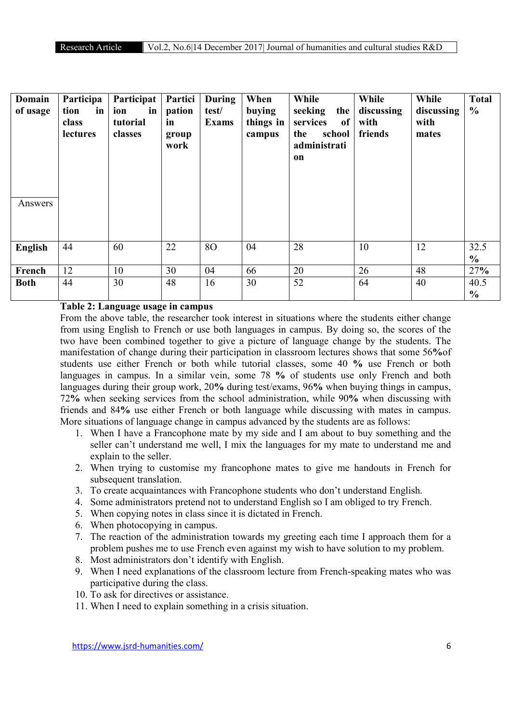| <b>Domain</b><br>of usage | Participa<br>in<br>tion<br>class<br>lectures | Participat<br>ion<br>in<br>tutorial<br>classes | Partici<br>pation<br>in<br>group<br>work | <b>During</b><br>test/<br><b>Exams</b> | When<br>buying<br>things in<br>campus | While<br>seeking<br>the<br>of<br>services<br>school<br>the<br>administrati<br>on | While<br>discussing<br>with<br>friends | While<br>discussing<br>with<br>mates | <b>Total</b><br>$\frac{0}{0}$ |
|---------------------------|----------------------------------------------|------------------------------------------------|------------------------------------------|----------------------------------------|---------------------------------------|----------------------------------------------------------------------------------|----------------------------------------|--------------------------------------|-------------------------------|
| Answers                   |                                              |                                                |                                          |                                        |                                       |                                                                                  |                                        |                                      |                               |
| <b>English</b>            | 44                                           | 60                                             | 22                                       | 80                                     | 04                                    | 28                                                                               | 10                                     | 12                                   | 32.5<br>$\frac{6}{6}$         |
| French                    | 12                                           | 10                                             | 30                                       | 04                                     | 66                                    | 20                                                                               | 26                                     | 48                                   | 27%                           |
| <b>Both</b>               | 44                                           | 30                                             | 48                                       | 16                                     | 30                                    | 52                                                                               | 64                                     | 40                                   | 40.5<br>$\frac{6}{6}$         |

# Table 2: Language usage in campus

From the above table, the researcher took interest in situations where the students either change from using English to French or use both languages in campus. By doing so, the scores of the two have been combined together to give a picture of language change by the students. The manifestation of change during their participation in classroom lectures shows that some 56%of students use either French or both while tutorial classes, some 40 % use French or both languages in campus. In a similar vein, some 78 % of students use only French and both languages during their group work, 20% during test/exams, 96% when buying things in campus, 72% when seeking services from the school administration, while 90% when discussing with friends and 84% use either French or both language while discussing with mates in campus. More situations of language change in campus advanced by the students are as follows:

- 1. When I have a Francophone mate by my side and I am about to buy something and the seller can't understand me well, I mix the languages for my mate to understand me and explain to the seller.
- 2. When trying to customise my francophone mates to give me handouts in French for subsequent translation.
- 3. To create acquaintances with Francophone students who don't understand English.
- 4. Some administrators pretend not to understand English so I am obliged to try French.
- 5. When copying notes in class since it is dictated in French.
- 6. When photocopying in campus.
- 7. The reaction of the administration towards my greeting each time I approach them for a problem pushes me to use French even against my wish to have solution to my problem.
- 8. Most administrators don't identify with English.
- 9. When I need explanations of the classroom lecture from French-speaking mates who was participative during the class.
- 10. To ask for directives or assistance.
- 11. When I need to explain something in a crisis situation.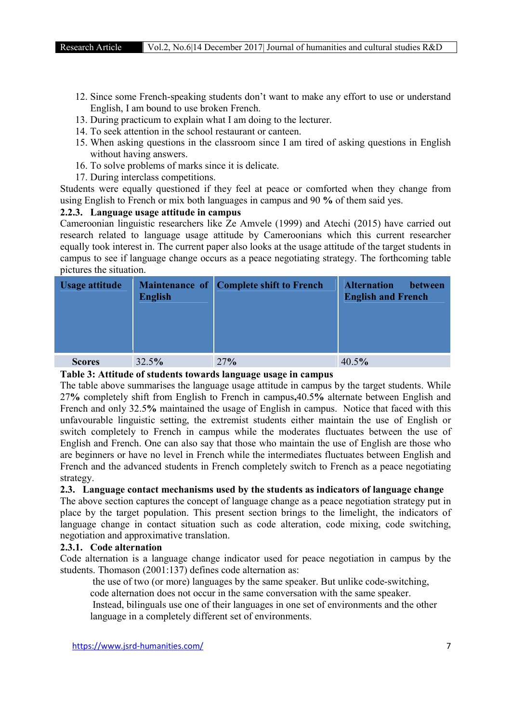- 12. Since some French-speaking students don't want to make any effort to use or understand English, I am bound to use broken French.
- 13. During practicum to explain what I am doing to the lecturer.
- 14. To seek attention in the school restaurant or canteen.
- 15. When asking questions in the classroom since I am tired of asking questions in English without having answers.
- 16. To solve problems of marks since it is delicate.
- 17. During interclass competitions.

Students were equally questioned if they feel at peace or comforted when they change from using English to French or mix both languages in campus and 90 % of them said yes.

# 2.2.3. Language usage attitude in campus

Cameroonian linguistic researchers like Ze Amvele (1999) and Atechi (2015) have carried out research related to language usage attitude by Cameroonians which this current researcher equally took interest in. The current paper also looks at the usage attitude of the target students in campus to see if language change occurs as a peace negotiating strategy. The forthcoming table pictures the situation.

| Usage attitude | <b>English</b> | Maintenance of Complete shift to French | <b>Alternation</b><br><b>between</b><br><b>English and French</b> |
|----------------|----------------|-----------------------------------------|-------------------------------------------------------------------|
| <b>Scores</b>  | 32.5%          | 27%                                     | 40.5%                                                             |

#### Table 3: Attitude of students towards language usage in campus

The table above summarises the language usage attitude in campus by the target students. While 27% completely shift from English to French in campus,40.5% alternate between English and French and only 32.5% maintained the usage of English in campus. Notice that faced with this unfavourable linguistic setting, the extremist students either maintain the use of English or switch completely to French in campus while the moderates fluctuates between the use of English and French. One can also say that those who maintain the use of English are those who are beginners or have no level in French while the intermediates fluctuates between English and French and the advanced students in French completely switch to French as a peace negotiating strategy.

# 2.3. Language contact mechanisms used by the students as indicators of language change

The above section captures the concept of language change as a peace negotiation strategy put in place by the target population. This present section brings to the limelight, the indicators of language change in contact situation such as code alteration, code mixing, code switching, negotiation and approximative translation.

# 2.3.1. Code alternation

Code alternation is a language change indicator used for peace negotiation in campus by the students. Thomason (2001:137) defines code alternation as:

the use of two (or more) languages by the same speaker. But unlike code-switching,

code alternation does not occur in the same conversation with the same speaker.

 Instead, bilinguals use one of their languages in one set of environments and the other language in a completely different set of environments.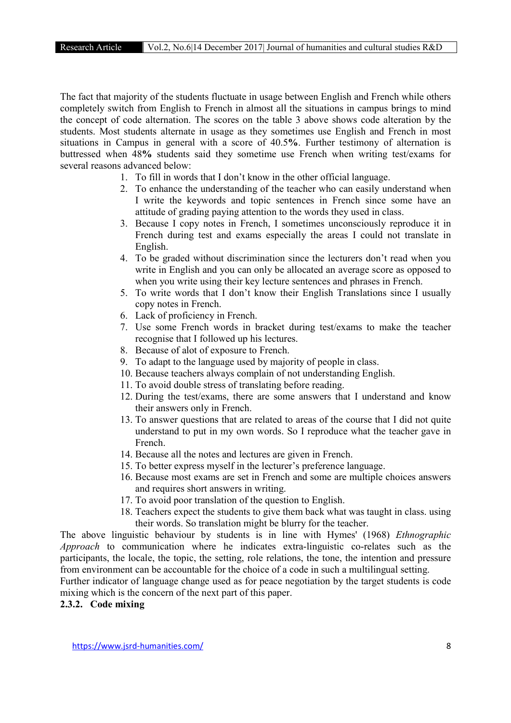The fact that majority of the students fluctuate in usage between English and French while others completely switch from English to French in almost all the situations in campus brings to mind the concept of code alternation. The scores on the table 3 above shows code alteration by the students. Most students alternate in usage as they sometimes use English and French in most situations in Campus in general with a score of 40.5%. Further testimony of alternation is buttressed when 48% students said they sometime use French when writing test/exams for several reasons advanced below:

- 1. To fill in words that I don't know in the other official language.
- 2. To enhance the understanding of the teacher who can easily understand when I write the keywords and topic sentences in French since some have an attitude of grading paying attention to the words they used in class.
- 3. Because I copy notes in French, I sometimes unconsciously reproduce it in French during test and exams especially the areas I could not translate in English.
- 4. To be graded without discrimination since the lecturers don't read when you write in English and you can only be allocated an average score as opposed to when you write using their key lecture sentences and phrases in French.
- 5. To write words that I don't know their English Translations since I usually copy notes in French.
- 6. Lack of proficiency in French.
- 7. Use some French words in bracket during test/exams to make the teacher recognise that I followed up his lectures.
- 8. Because of alot of exposure to French.
- 9. To adapt to the language used by majority of people in class.
- 10. Because teachers always complain of not understanding English.
- 11. To avoid double stress of translating before reading.
- 12. During the test/exams, there are some answers that I understand and know their answers only in French.
- 13. To answer questions that are related to areas of the course that I did not quite understand to put in my own words. So I reproduce what the teacher gave in French.
- 14. Because all the notes and lectures are given in French.
- 15. To better express myself in the lecturer's preference language.
- 16. Because most exams are set in French and some are multiple choices answers and requires short answers in writing.
- 17. To avoid poor translation of the question to English.
- 18. Teachers expect the students to give them back what was taught in class. using their words. So translation might be blurry for the teacher.

The above linguistic behaviour by students is in line with Hymes' (1968) *Ethnographic Approach* to communication where he indicates extra-linguistic co-relates such as the participants, the locale, the topic, the setting, role relations, the tone, the intention and pressure from environment can be accountable for the choice of a code in such a multilingual setting.

Further indicator of language change used as for peace negotiation by the target students is code mixing which is the concern of the next part of this paper.

# 2.3.2. Code mixing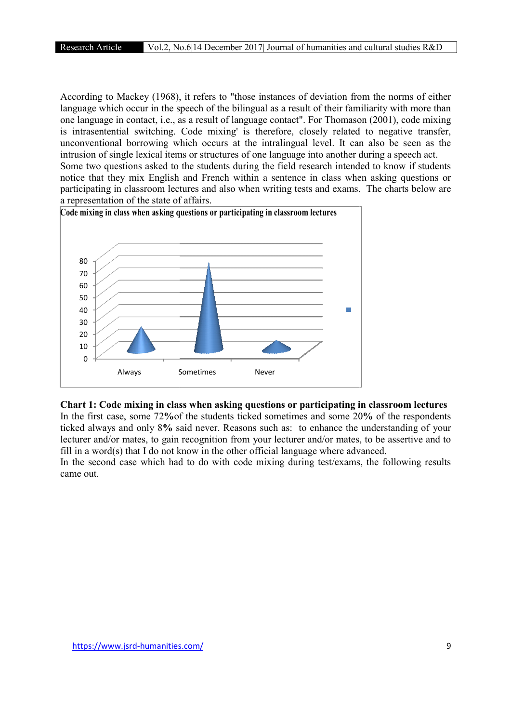According to Mackey (1968), it refers to "those instances of deviation from the norms of either language which occur in the speech of the bilingual as a result of their familiarity with more than language which occur in the speech of the bilingual as a result of their familiarity with more than one language in contact, i.e., as a result of language contact". For Thomason (2001), code mixing is intrasentential switching. Code mixing' is therefore, closely related to negative transfer, unconventional borrowing which occurs at the intralingual level. It can also be seen as the intrusion of single lexical items or structures of one language into another during a speech act. Some two questions asked to the students during the field research intended to know if students notice that they mix English and French within a sentence in class when asking questions or participating in classroom lectures and also when writing tests and exams. The charts below are a representation of the state of affairs. y (1968), it refers to "those instances of deviation from the norms of either r in the speech of the bilingual as a result of their familiarity with more than act, i.e., as a result of language contact". For Thomason (2001



#### Chart 1: Code mixing in class when asking questions or participating in classroom lectures questions

In the first case, some 72% of the students ticked sometimes and some 20% of the respondents ticked always and only 8% said never. Reasons such as: to enhance the understanding of your lecturer and/or mates, to gain recognition from your lecturer and/or mates, to be assertive and to fill in a word(s) that I do not know in the other official language where advanced. Always Sometimes Never<br> **Code mixing in class when asking questio**<br> **Code mixing in class when asking questio**<br> **Code always and only 8% said never. Reasons such ceturer and/or mates, to gain recognition from your II in a** ever. Reasons such as: to enhance the understanding of your gnition from your lecturer and/or mates, to be assertive and to in the other official language where advanced.

In the second case which had to do with code mixing during test/exams, the following results came out.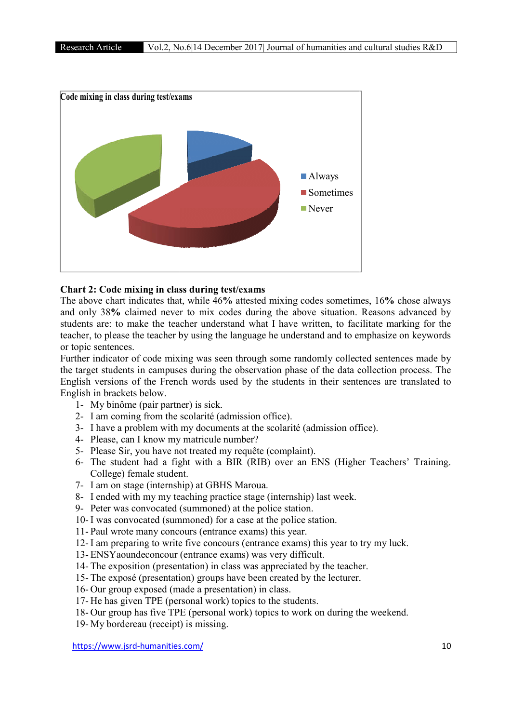

# Chart 2: Code mixing in class during test/exams

The above chart indicates that, while 46% attested mixing codes sometimes, 16% chose always and only 38% claimed never to mix codes during the above situation. Reasons advanced by students are: to make the teacher understand what I have written, to facilitate marking for the teacher, to please the teacher by using the language he understand and to emphasize on keywords or topic sentences. es during the above situation. Reasons advanced by<br>nd what I have written, to facilitate marking for the<br>anguage he understand and to emphasize on keywords<br>through some randomly collected sentences made by<br>observation phas

Further indicator of code mixing was seen through some randomly collected sentences made by the target students in campuses during the observation phase of the data collection process. The English versions of the French words used by the students in their sentences are translated to English in brackets below. Fight wersions of the French words used by the students in their sentences are translated to<br>
stight in brackets below.<br>
1- My binôme (pair partner) is sick.<br>
2- I am coming from the scolarité (admission office).<br>
3- I hav

- 1- My binôme (pair partner) is sick.
- 2- I am coming from the scolarité (admission office).
- 3- I have a problem with my documents at the scolarité (admission office).
- 4- Please, can I know my matricule number?
- 5- Please Sir, you have not treated my requête (complaint).
- College) female student. lease, can I know my matricule number?<br>lease Sir, you have not treated my requêt<br>he student had a fight with a BIR (R<br>ollege) female student.
- 7- I am on stage (internship) at GBHS Maroua.
- 8- I ended with my my teaching practice stage (internship) last week.
- 9- Peter was convocated (summoned) at the police station.
- 10- I was convocated (summoned) for a case at the police station.
- 11- Paul wrote many concours (entrance exams) this year.
- 12- I am preparing to write five concours (entrance exams) this year to try my luck.
- 13- ENSYaoundeconcour (entrance exams) was very difficult.
- 14- The exposition (presentation) in class was appreciated by the teacher.
- 15- The exposé (presentation) groups have been created by the lecturer.
- 16- Our group exposed (made a presentation) in class.
- 17- He has given TPE (personal work) topics to the students.
- 18- Our group has five TPE (personal work) topics to work on during the weekend.
- 19- My bordereau (receipt) is missing.

https://www.jsrd-humanities.com/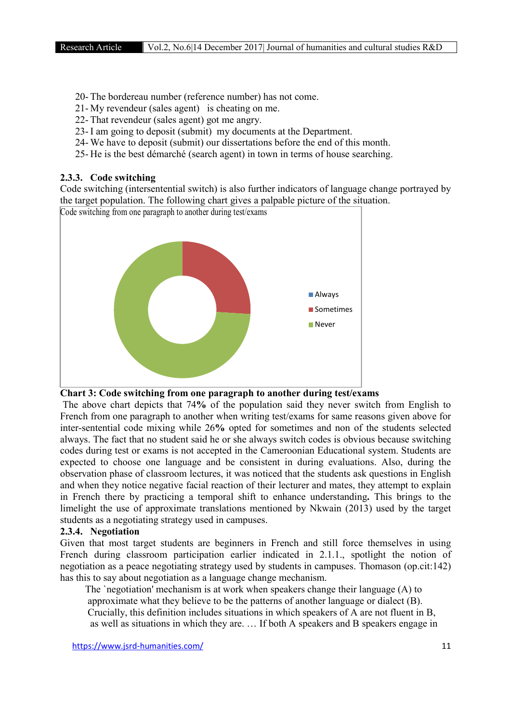- 20- The bordereau number (reference number) has not come.
- 21- My revendeur (sales agent) is cheating on me.
- 22- That revendeur (sales agent) got me angry.
- 23- I am going to deposit (submit) my documents at the Department.
- 24- We have to deposit (submit) our dissertations before the end of this month.
- 25- He is the best démarché (search agent) in town in terms of house searching.

#### 2.3.3. Code switching

Code switching (intersentential switch) is also further indicators of language change portrayed by the target population. The following chart gives a palpable picture of the situation.



Chart 3: Code switching from one paragraph to another during test/exams

The above chart depicts that 74% of the population said they never switch from English to French from one paragraph to another when writing test/exams for same reasons given above for inter-sentential code mixing while 26% opted for sometimes and non of the students selected always. The fact that no student said he or she always switch codes is obvious because switching codes during test or exams is not accepted in the Cameroonian Educational system. Students are expected to choose one language and be consistent in during evaluations. Also, during the observation phase of classroom lectures, it was noticed that the students ask questions in English and when they notice negative facial reaction of their lecturer and mates, they attempt to explain in French there by practicing a temporal shift to enhance understanding. This brings to the limelight the use of approximate translations mentioned by Nkwain (2013) used by the target students as a negotiating strategy used in campuses.

# 2.3.4. Negotiation

Given that most target students are beginners in French and still force themselves in using French during classroom participation earlier indicated in 2.1.1., spotlight the notion of negotiation as a peace negotiating strategy used by students in campuses. Thomason (op.cit:142) has this to say about negotiation as a language change mechanism.

 The `negotiation' mechanism is at work when speakers change their language (A) to approximate what they believe to be the patterns of another language or dialect (B). Crucially, this definition includes situations in which speakers of A are not fluent in B, as well as situations in which they are. … If both A speakers and B speakers engage in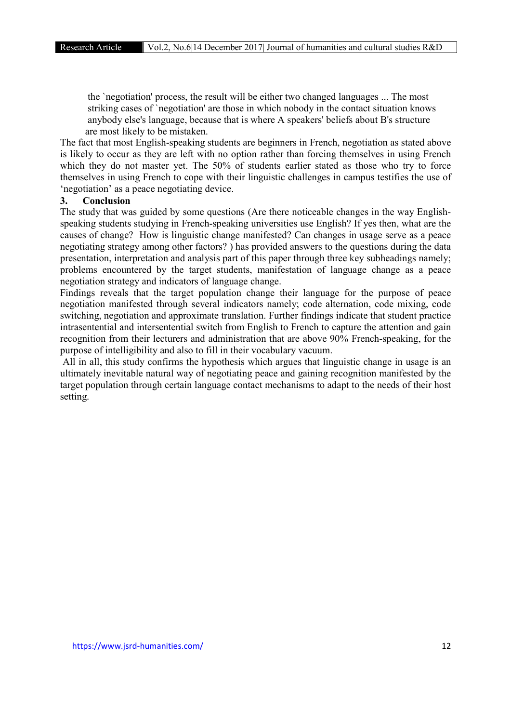the `negotiation' process, the result will be either two changed languages ... The most striking cases of `negotiation' are those in which nobody in the contact situation knows anybody else's language, because that is where A speakers' beliefs about B's structure are most likely to be mistaken.

The fact that most English-speaking students are beginners in French, negotiation as stated above is likely to occur as they are left with no option rather than forcing themselves in using French which they do not master yet. The 50% of students earlier stated as those who try to force themselves in using French to cope with their linguistic challenges in campus testifies the use of 'negotiation' as a peace negotiating device.

#### 3. Conclusion

The study that was guided by some questions (Are there noticeable changes in the way Englishspeaking students studying in French-speaking universities use English? If yes then, what are the causes of change? How is linguistic change manifested? Can changes in usage serve as a peace negotiating strategy among other factors? ) has provided answers to the questions during the data presentation, interpretation and analysis part of this paper through three key subheadings namely; problems encountered by the target students, manifestation of language change as a peace negotiation strategy and indicators of language change.

Findings reveals that the target population change their language for the purpose of peace negotiation manifested through several indicators namely; code alternation, code mixing, code switching, negotiation and approximate translation. Further findings indicate that student practice intrasentential and intersentential switch from English to French to capture the attention and gain recognition from their lecturers and administration that are above 90% French-speaking, for the purpose of intelligibility and also to fill in their vocabulary vacuum.

All in all, this study confirms the hypothesis which argues that linguistic change in usage is an ultimately inevitable natural way of negotiating peace and gaining recognition manifested by the target population through certain language contact mechanisms to adapt to the needs of their host setting.